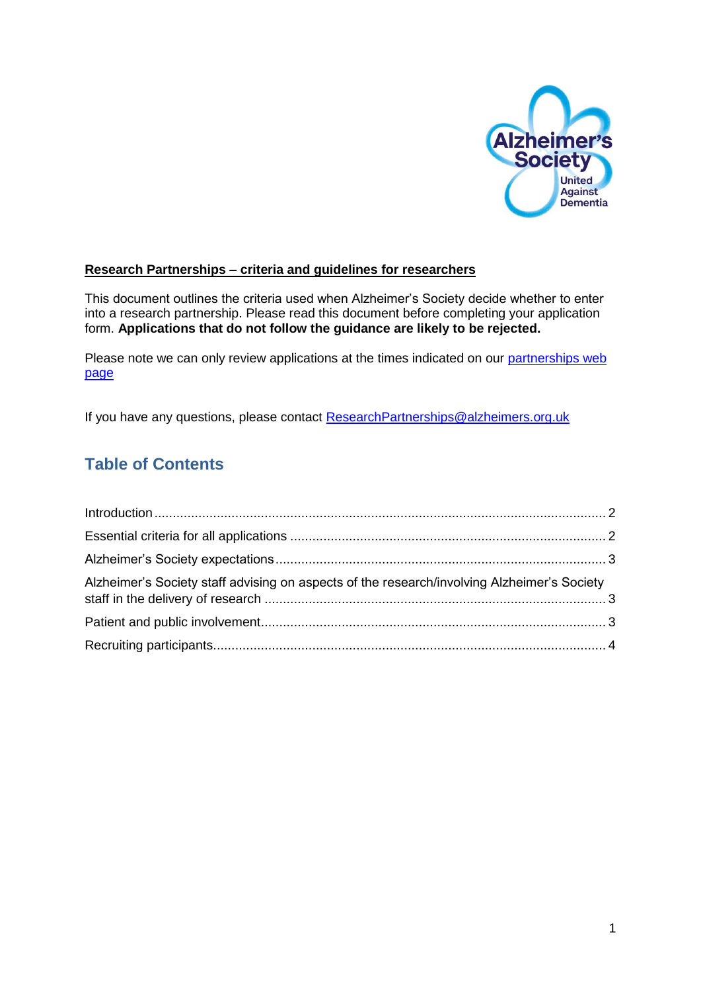

#### **Research Partnerships – criteria and guidelines for researchers**

This document outlines the criteria used when Alzheimer's Society decide whether to enter into a research partnership. Please read this document before completing your application form. **Applications that do not follow the guidance are likely to be rejected.** 

Please note we can only review applications at the times indicated on our partnerships web [page](https://www.alzheimers.org.uk/info/20061/research_partnerships/70/research_partnerships)

If you have any questions, please contact [ResearchPartnerships@alzheimers.org.uk](mailto:ResearchPartnerships@alzheimers.org.uk)

## **Table of Contents**

| Alzheimer's Society staff advising on aspects of the research/involving Alzheimer's Society |  |
|---------------------------------------------------------------------------------------------|--|
|                                                                                             |  |
|                                                                                             |  |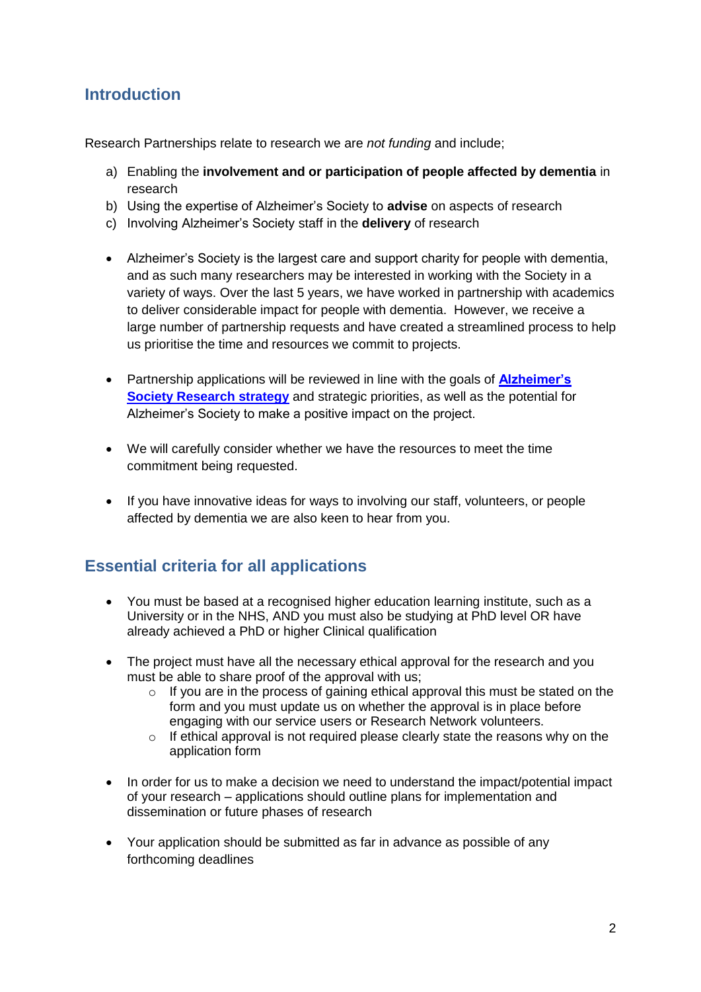### <span id="page-1-0"></span>**Introduction**

Research Partnerships relate to research we are *not funding* and include;

- a) Enabling the **involvement and or participation of people affected by dementia** in research
- b) Using the expertise of Alzheimer's Society to **advise** on aspects of research
- c) Involving Alzheimer's Society staff in the **delivery** of research
- Alzheimer's Society is the largest care and support charity for people with dementia, and as such many researchers may be interested in working with the Society in a variety of ways. Over the last 5 years, we have worked in partnership with academics to deliver considerable impact for people with dementia. However, we receive a large number of partnership requests and have created a streamlined process to help us prioritise the time and resources we commit to projects.
- Partnership applications will be reviewed in line with the goals of **[Alzheimer's](https://www.alzheimers.org.uk/site/scripts/documents_info.php?documentID=1111)  [Society Research strategy](https://www.alzheimers.org.uk/site/scripts/documents_info.php?documentID=1111)** and strategic priorities, as well as the potential for Alzheimer's Society to make a positive impact on the project.
- We will carefully consider whether we have the resources to meet the time commitment being requested.
- If you have innovative ideas for ways to involving our staff, volunteers, or people affected by dementia we are also keen to hear from you.

### <span id="page-1-1"></span>**Essential criteria for all applications**

- You must be based at a recognised higher education learning institute, such as a University or in the NHS, AND you must also be studying at PhD level OR have already achieved a PhD or higher Clinical qualification
- The project must have all the necessary ethical approval for the research and you must be able to share proof of the approval with us;
	- $\circ$  If you are in the process of gaining ethical approval this must be stated on the form and you must update us on whether the approval is in place before engaging with our service users or Research Network volunteers.
	- $\circ$  If ethical approval is not required please clearly state the reasons why on the application form
- In order for us to make a decision we need to understand the impact/potential impact of your research – applications should outline plans for implementation and dissemination or future phases of research
- Your application should be submitted as far in advance as possible of any forthcoming deadlines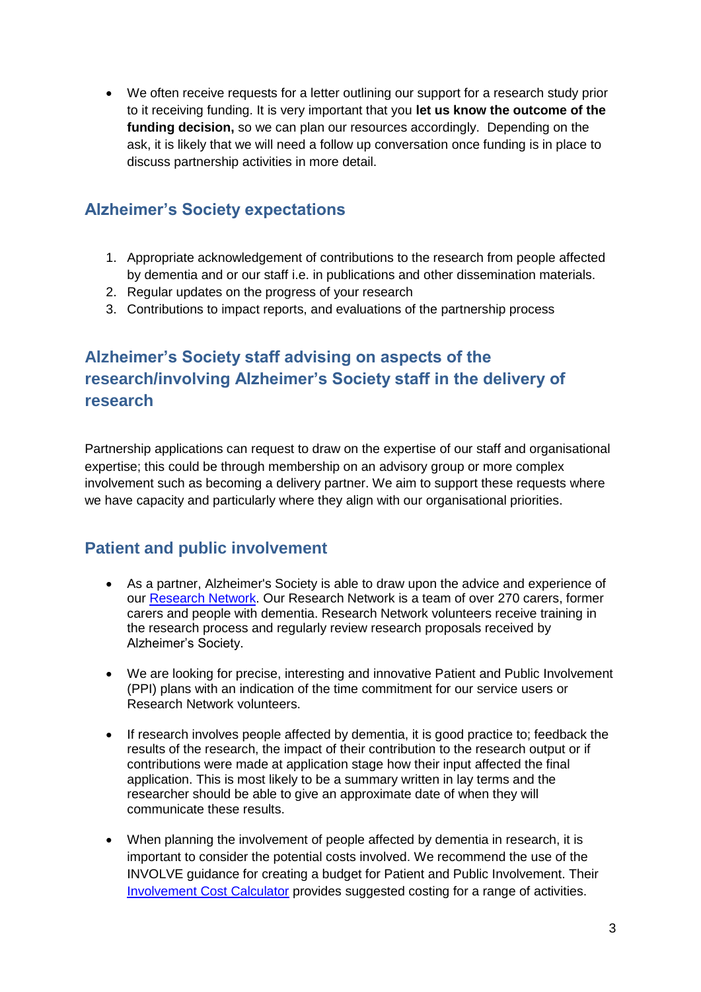We often receive requests for a letter outlining our support for a research study prior to it receiving funding. It is very important that you **let us know the outcome of the funding decision,** so we can plan our resources accordingly. Depending on the ask, it is likely that we will need a follow up conversation once funding is in place to discuss partnership activities in more detail.

### <span id="page-2-0"></span>**Alzheimer's Society expectations**

- 1. Appropriate acknowledgement of contributions to the research from people affected by dementia and or our staff i.e. in publications and other dissemination materials.
- 2. Regular updates on the progress of your research
- 3. Contributions to impact reports, and evaluations of the partnership process

# <span id="page-2-1"></span>**Alzheimer's Society staff advising on aspects of the research/involving Alzheimer's Society staff in the delivery of research**

Partnership applications can request to draw on the expertise of our staff and organisational expertise; this could be through membership on an advisory group or more complex involvement such as becoming a delivery partner. We aim to support these requests where we have capacity and particularly where they align with our organisational priorities.

### <span id="page-2-2"></span>**Patient and public involvement**

- As a partner, Alzheimer's Society is able to draw upon the advice and experience of our [Research Network.](https://www.alzheimers.org.uk/site/scripts/documents_info.php?documentID=1109) Our Research Network is a team of over 270 carers, former [carers](https://www.alzheimers.org.uk/site/scripts/documents.php?categoryID=200343) and people with [dementia.](https://www.alzheimers.org.uk/factsheet/400) Research Network volunteers receive training in the research process and regularly review research proposals received by Alzheimer's Society.
- We are looking for precise, interesting and innovative Patient and Public Involvement (PPI) plans with an indication of the time commitment for our service users or Research Network volunteers.
- If research involves people affected by dementia, it is good practice to; feedback the results of the research, the impact of their contribution to the research output or if contributions were made at application stage how their input affected the final application. This is most likely to be a summary written in lay terms and the researcher should be able to give an approximate date of when they will communicate these results.
- When planning the involvement of people affected by dementia in research, it is important to consider the potential costs involved. We recommend the use of the INVOLVE guidance for creating a budget for Patient and Public Involvement. Their [Involvement Cost Calculator](http://www.invo.org.uk/resource-centre/payment-and-recognition-for-public-involvement/involvement-cost-calculator/) provides suggested costing for a range of activities.